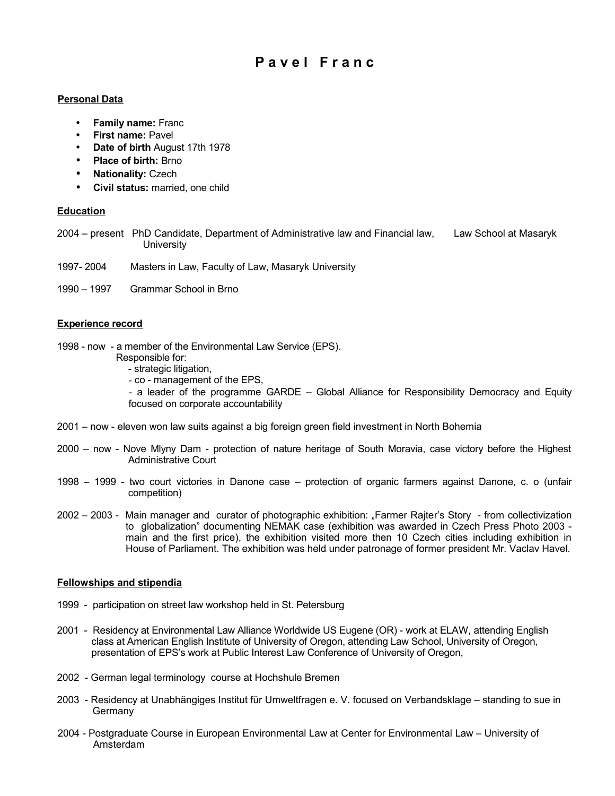# **P a v e l F r a n c**

### **Personal Data**

- **Family name:** Franc
- **First name:** Pavel
- **Date of birth** August 17th 1978
- **Place of birth:** Brno
- **Nationality:** Czech
- **Civil status:** married, one child

#### **Education**

- 2004 present PhD Candidate, Department of Administrative law and Financial law, Law School at Masaryk **University**
- 1997- 2004 Masters in Law, Faculty of Law, Masaryk University
- 1990 1997 Grammar School in Brno

#### **Experience record**

- 1998 now a member of the Environmental Law Service (EPS).
	- Responsible for:
		- strategic litigation,
		- co management of the EPS,

- a leader of the programme GARDE – Global Alliance for Responsibility Democracy and Equity focused on corporate accountability

- 2001 now eleven won law suits against a big foreign green field investment in North Bohemia
- 2000 now Nove Mlyny Dam protection of nature heritage of South Moravia, case victory before the Highest Administrative Court
- 1998 1999 two court victories in Danone case protection of organic farmers against Danone, c. o (unfair competition)
- 2002 2003 Main manager and curator of photographic exhibition: "Farmer Rajter's Story from collectivization to globalization" documenting NEMAK case (exhibition was awarded in Czech Press Photo 2003 main and the first price), the exhibition visited more then 10 Czech cities including exhibition in House of Parliament. The exhibition was held under patronage of former president Mr. Vaclav Havel.

#### **Fellowships and stipendia**

- 1999 participation on street law workshop held in St. Petersburg
- 2001 Residency at Environmental Law Alliance Worldwide US Eugene (OR) work at ELAW, attending English class at American English Institute of University of Oregon, attending Law School, University of Oregon, presentation of EPS's work at Public Interest Law Conference of University of Oregon,
- 2002 German legal terminology course at Hochshule Bremen
- 2003 Residency at Unabhängiges Institut für Umweltfragen e. V. focused on Verbandsklage standing to sue in Germany
- 2004 Postgraduate Course in European Environmental Law at Center for Environmental Law University of Amsterdam